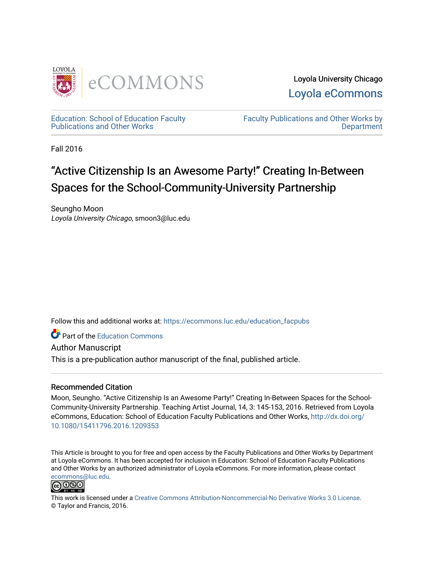

Loyola University Chicago [Loyola eCommons](https://ecommons.luc.edu/) 

[Education: School of Education Faculty](https://ecommons.luc.edu/education_facpubs)  [Publications and Other Works](https://ecommons.luc.edu/education_facpubs) 

[Faculty Publications and Other Works by](https://ecommons.luc.edu/faculty)  **Department** 

Fall 2016

# "Active Citizenship Is an Awesome Party!" Creating In-Between Spaces for the School-Community-University Partnership

Seungho Moon Loyola University Chicago, smoon3@luc.edu

Follow this and additional works at: [https://ecommons.luc.edu/education\\_facpubs](https://ecommons.luc.edu/education_facpubs?utm_source=ecommons.luc.edu%2Feducation_facpubs%2F153&utm_medium=PDF&utm_campaign=PDFCoverPages) 

**C** Part of the [Education Commons](http://network.bepress.com/hgg/discipline/784?utm_source=ecommons.luc.edu%2Feducation_facpubs%2F153&utm_medium=PDF&utm_campaign=PDFCoverPages)

Author Manuscript

This is a pre-publication author manuscript of the final, published article.

# Recommended Citation

Moon, Seungho. "Active Citizenship Is an Awesome Party!" Creating In-Between Spaces for the School-Community-University Partnership. Teaching Artist Journal, 14, 3: 145-153, 2016. Retrieved from Loyola eCommons, Education: School of Education Faculty Publications and Other Works, [http://dx.doi.org/](http://dx.doi.org/10.1080/15411796.2016.1209353) [10.1080/15411796.2016.1209353](http://dx.doi.org/10.1080/15411796.2016.1209353)

This Article is brought to you for free and open access by the Faculty Publications and Other Works by Department at Loyola eCommons. It has been accepted for inclusion in Education: School of Education Faculty Publications and Other Works by an authorized administrator of Loyola eCommons. For more information, please contact [ecommons@luc.edu](mailto:ecommons@luc.edu).



This work is licensed under a [Creative Commons Attribution-Noncommercial-No Derivative Works 3.0 License.](https://creativecommons.org/licenses/by-nc-nd/3.0/) © Taylor and Francis, 2016.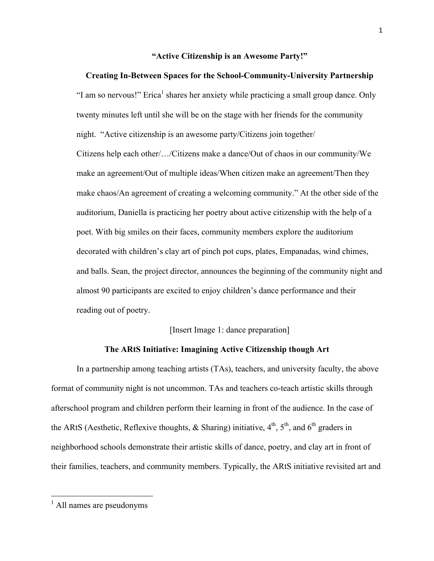# **"Active Citizenship is an Awesome Party!"**

#### **Creating In-Between Spaces for the School-Community-University Partnership**

"I am so nervous!" Erica<sup>1</sup> shares her anxiety while practicing a small group dance. Only twenty minutes left until she will be on the stage with her friends for the community night. "Active citizenship is an awesome party/Citizens join together/ Citizens help each other/…/Citizens make a dance/Out of chaos in our community/We make an agreement/Out of multiple ideas/When citizen make an agreement/Then they make chaos/An agreement of creating a welcoming community." At the other side of the auditorium, Daniella is practicing her poetry about active citizenship with the help of a poet. With big smiles on their faces, community members explore the auditorium decorated with children's clay art of pinch pot cups, plates, Empanadas, wind chimes, and balls. Sean, the project director, announces the beginning of the community night and almost 90 participants are excited to enjoy children's dance performance and their reading out of poetry.

#### [Insert Image 1: dance preparation]

#### **The ARtS Initiative: Imagining Active Citizenship though Art**

In a partnership among teaching artists (TAs), teachers, and university faculty, the above format of community night is not uncommon. TAs and teachers co-teach artistic skills through afterschool program and children perform their learning in front of the audience. In the case of the ARtS (Aesthetic, Reflexive thoughts,  $\&$  Sharing) initiative,  $4^{th}$ ,  $5^{th}$ , and  $6^{th}$  graders in neighborhood schools demonstrate their artistic skills of dance, poetry, and clay art in front of their families, teachers, and community members. Typically, the ARtS initiative revisited art and

 $<sup>1</sup>$  All names are pseudonyms</sup>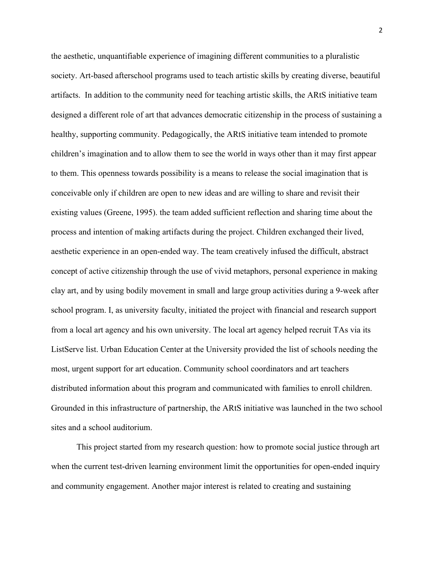the aesthetic, unquantifiable experience of imagining different communities to a pluralistic society. Art-based afterschool programs used to teach artistic skills by creating diverse, beautiful artifacts. In addition to the community need for teaching artistic skills, the ARtS initiative team designed a different role of art that advances democratic citizenship in the process of sustaining a healthy, supporting community. Pedagogically, the ARtS initiative team intended to promote children's imagination and to allow them to see the world in ways other than it may first appear to them. This openness towards possibility is a means to release the social imagination that is conceivable only if children are open to new ideas and are willing to share and revisit their existing values (Greene, 1995). the team added sufficient reflection and sharing time about the process and intention of making artifacts during the project. Children exchanged their lived, aesthetic experience in an open-ended way. The team creatively infused the difficult, abstract concept of active citizenship through the use of vivid metaphors, personal experience in making clay art, and by using bodily movement in small and large group activities during a 9-week after school program. I, as university faculty, initiated the project with financial and research support from a local art agency and his own university. The local art agency helped recruit TAs via its ListServe list. Urban Education Center at the University provided the list of schools needing the most, urgent support for art education. Community school coordinators and art teachers distributed information about this program and communicated with families to enroll children. Grounded in this infrastructure of partnership, the ARtS initiative was launched in the two school sites and a school auditorium.

This project started from my research question: how to promote social justice through art when the current test-driven learning environment limit the opportunities for open-ended inquiry and community engagement. Another major interest is related to creating and sustaining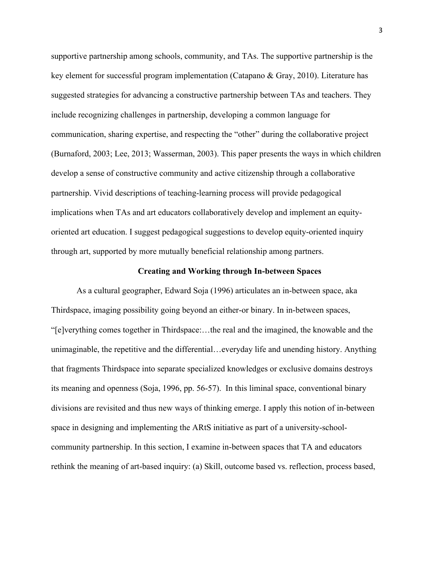supportive partnership among schools, community, and TAs. The supportive partnership is the key element for successful program implementation (Catapano & Gray, 2010). Literature has suggested strategies for advancing a constructive partnership between TAs and teachers. They include recognizing challenges in partnership, developing a common language for communication, sharing expertise, and respecting the "other" during the collaborative project (Burnaford, 2003; Lee, 2013; Wasserman, 2003). This paper presents the ways in which children develop a sense of constructive community and active citizenship through a collaborative partnership. Vivid descriptions of teaching-learning process will provide pedagogical implications when TAs and art educators collaboratively develop and implement an equityoriented art education. I suggest pedagogical suggestions to develop equity-oriented inquiry through art, supported by more mutually beneficial relationship among partners.

### **Creating and Working through In-between Spaces**

As a cultural geographer, Edward Soja (1996) articulates an in-between space, aka Thirdspace, imaging possibility going beyond an either-or binary. In in-between spaces, "[e]verything comes together in Thirdspace:…the real and the imagined, the knowable and the unimaginable, the repetitive and the differential…everyday life and unending history. Anything that fragments Thirdspace into separate specialized knowledges or exclusive domains destroys its meaning and openness (Soja, 1996, pp. 56-57). In this liminal space, conventional binary divisions are revisited and thus new ways of thinking emerge. I apply this notion of in-between space in designing and implementing the ARtS initiative as part of a university-schoolcommunity partnership. In this section, I examine in-between spaces that TA and educators rethink the meaning of art-based inquiry: (a) Skill, outcome based vs. reflection, process based,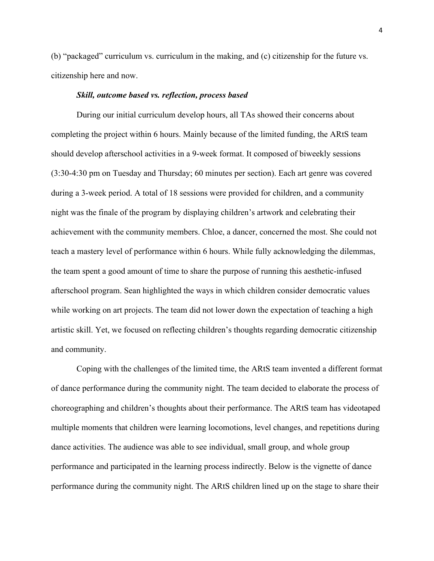(b) "packaged" curriculum vs. curriculum in the making, and (c) citizenship for the future vs. citizenship here and now.

#### *Skill, outcome based vs. reflection, process based*

During our initial curriculum develop hours, all TAs showed their concerns about completing the project within 6 hours. Mainly because of the limited funding, the ARtS team should develop afterschool activities in a 9-week format. It composed of biweekly sessions (3:30-4:30 pm on Tuesday and Thursday; 60 minutes per section). Each art genre was covered during a 3-week period. A total of 18 sessions were provided for children, and a community night was the finale of the program by displaying children's artwork and celebrating their achievement with the community members. Chloe, a dancer, concerned the most. She could not teach a mastery level of performance within 6 hours. While fully acknowledging the dilemmas, the team spent a good amount of time to share the purpose of running this aesthetic-infused afterschool program. Sean highlighted the ways in which children consider democratic values while working on art projects. The team did not lower down the expectation of teaching a high artistic skill. Yet, we focused on reflecting children's thoughts regarding democratic citizenship and community.

Coping with the challenges of the limited time, the ARtS team invented a different format of dance performance during the community night. The team decided to elaborate the process of choreographing and children's thoughts about their performance. The ARtS team has videotaped multiple moments that children were learning locomotions, level changes, and repetitions during dance activities. The audience was able to see individual, small group, and whole group performance and participated in the learning process indirectly. Below is the vignette of dance performance during the community night. The ARtS children lined up on the stage to share their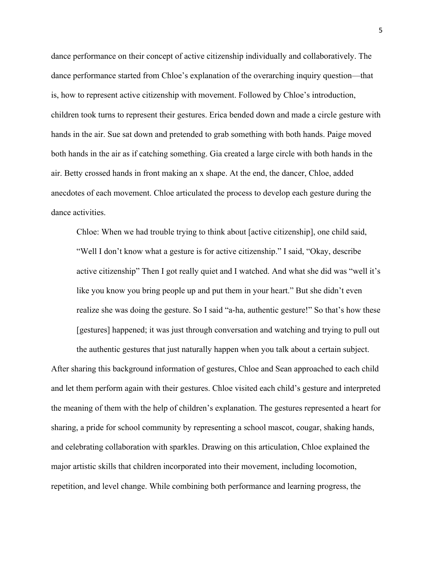dance performance on their concept of active citizenship individually and collaboratively. The dance performance started from Chloe's explanation of the overarching inquiry question—that is, how to represent active citizenship with movement. Followed by Chloe's introduction, children took turns to represent their gestures. Erica bended down and made a circle gesture with hands in the air. Sue sat down and pretended to grab something with both hands. Paige moved both hands in the air as if catching something. Gia created a large circle with both hands in the air. Betty crossed hands in front making an x shape. At the end, the dancer, Chloe, added anecdotes of each movement. Chloe articulated the process to develop each gesture during the dance activities.

Chloe: When we had trouble trying to think about [active citizenship], one child said, "Well I don't know what a gesture is for active citizenship." I said, "Okay, describe active citizenship" Then I got really quiet and I watched. And what she did was "well it's like you know you bring people up and put them in your heart." But she didn't even realize she was doing the gesture. So I said "a-ha, authentic gesture!" So that's how these [gestures] happened; it was just through conversation and watching and trying to pull out the authentic gestures that just naturally happen when you talk about a certain subject.

After sharing this background information of gestures, Chloe and Sean approached to each child and let them perform again with their gestures. Chloe visited each child's gesture and interpreted the meaning of them with the help of children's explanation. The gestures represented a heart for sharing, a pride for school community by representing a school mascot, cougar, shaking hands, and celebrating collaboration with sparkles. Drawing on this articulation, Chloe explained the major artistic skills that children incorporated into their movement, including locomotion, repetition, and level change. While combining both performance and learning progress, the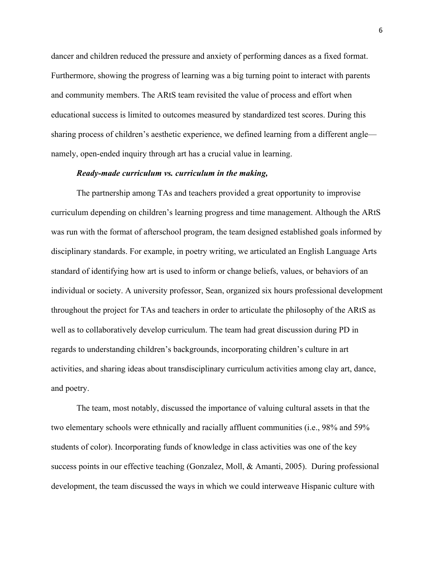dancer and children reduced the pressure and anxiety of performing dances as a fixed format. Furthermore, showing the progress of learning was a big turning point to interact with parents and community members. The ARtS team revisited the value of process and effort when educational success is limited to outcomes measured by standardized test scores. During this sharing process of children's aesthetic experience, we defined learning from a different angle namely, open-ended inquiry through art has a crucial value in learning.

#### *Ready-made curriculum vs. curriculum in the making,*

The partnership among TAs and teachers provided a great opportunity to improvise curriculum depending on children's learning progress and time management. Although the ARtS was run with the format of afterschool program, the team designed established goals informed by disciplinary standards. For example, in poetry writing, we articulated an English Language Arts standard of identifying how art is used to inform or change beliefs, values, or behaviors of an individual or society. A university professor, Sean, organized six hours professional development throughout the project for TAs and teachers in order to articulate the philosophy of the ARtS as well as to collaboratively develop curriculum. The team had great discussion during PD in regards to understanding children's backgrounds, incorporating children's culture in art activities, and sharing ideas about transdisciplinary curriculum activities among clay art, dance, and poetry.

The team, most notably, discussed the importance of valuing cultural assets in that the two elementary schools were ethnically and racially affluent communities (i.e., 98% and 59% students of color). Incorporating funds of knowledge in class activities was one of the key success points in our effective teaching (Gonzalez, Moll, & Amanti, 2005). During professional development, the team discussed the ways in which we could interweave Hispanic culture with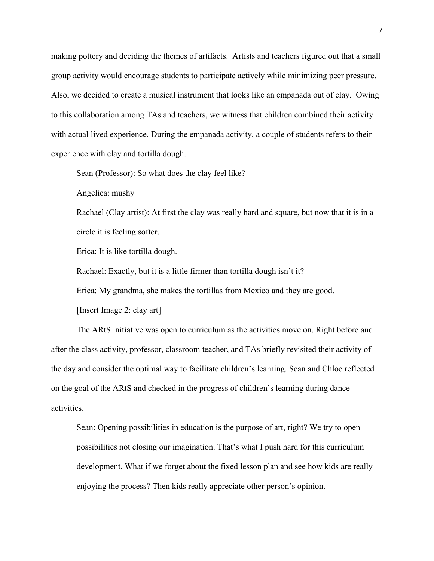making pottery and deciding the themes of artifacts. Artists and teachers figured out that a small group activity would encourage students to participate actively while minimizing peer pressure. Also, we decided to create a musical instrument that looks like an empanada out of clay. Owing to this collaboration among TAs and teachers, we witness that children combined their activity with actual lived experience. During the empanada activity, a couple of students refers to their experience with clay and tortilla dough.

Sean (Professor): So what does the clay feel like?

Angelica: mushy

Rachael (Clay artist): At first the clay was really hard and square, but now that it is in a circle it is feeling softer.

Erica: It is like tortilla dough.

Rachael: Exactly, but it is a little firmer than tortilla dough isn't it?

Erica: My grandma, she makes the tortillas from Mexico and they are good.

[Insert Image 2: clay art]

The ARtS initiative was open to curriculum as the activities move on. Right before and after the class activity, professor, classroom teacher, and TAs briefly revisited their activity of the day and consider the optimal way to facilitate children's learning. Sean and Chloe reflected on the goal of the ARtS and checked in the progress of children's learning during dance activities.

Sean: Opening possibilities in education is the purpose of art, right? We try to open possibilities not closing our imagination. That's what I push hard for this curriculum development. What if we forget about the fixed lesson plan and see how kids are really enjoying the process? Then kids really appreciate other person's opinion.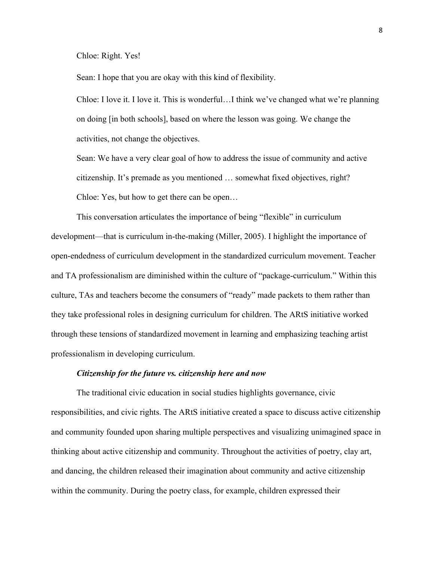Chloe: Right. Yes!

Sean: I hope that you are okay with this kind of flexibility.

Chloe: I love it. I love it. This is wonderful…I think we've changed what we're planning on doing [in both schools], based on where the lesson was going. We change the activities, not change the objectives.

Sean: We have a very clear goal of how to address the issue of community and active citizenship. It's premade as you mentioned … somewhat fixed objectives, right? Chloe: Yes, but how to get there can be open…

This conversation articulates the importance of being "flexible" in curriculum development—that is curriculum in-the-making (Miller, 2005). I highlight the importance of open-endedness of curriculum development in the standardized curriculum movement. Teacher and TA professionalism are diminished within the culture of "package-curriculum." Within this culture, TAs and teachers become the consumers of "ready" made packets to them rather than they take professional roles in designing curriculum for children. The ARtS initiative worked through these tensions of standardized movement in learning and emphasizing teaching artist professionalism in developing curriculum.

## *Citizenship for the future vs. citizenship here and now*

The traditional civic education in social studies highlights governance, civic responsibilities, and civic rights. The ARtS initiative created a space to discuss active citizenship and community founded upon sharing multiple perspectives and visualizing unimagined space in thinking about active citizenship and community. Throughout the activities of poetry, clay art, and dancing, the children released their imagination about community and active citizenship within the community. During the poetry class, for example, children expressed their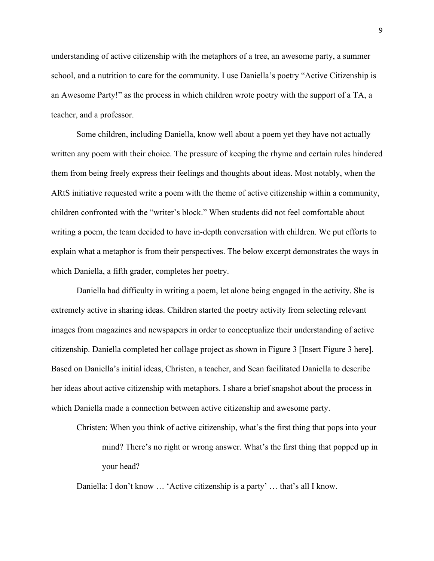understanding of active citizenship with the metaphors of a tree, an awesome party, a summer school, and a nutrition to care for the community. I use Daniella's poetry "Active Citizenship is an Awesome Party!" as the process in which children wrote poetry with the support of a TA, a teacher, and a professor.

Some children, including Daniella, know well about a poem yet they have not actually written any poem with their choice. The pressure of keeping the rhyme and certain rules hindered them from being freely express their feelings and thoughts about ideas. Most notably, when the ARtS initiative requested write a poem with the theme of active citizenship within a community, children confronted with the "writer's block." When students did not feel comfortable about writing a poem, the team decided to have in-depth conversation with children. We put efforts to explain what a metaphor is from their perspectives. The below excerpt demonstrates the ways in which Daniella, a fifth grader, completes her poetry.

Daniella had difficulty in writing a poem, let alone being engaged in the activity. She is extremely active in sharing ideas. Children started the poetry activity from selecting relevant images from magazines and newspapers in order to conceptualize their understanding of active citizenship. Daniella completed her collage project as shown in Figure 3 [Insert Figure 3 here]. Based on Daniella's initial ideas, Christen, a teacher, and Sean facilitated Daniella to describe her ideas about active citizenship with metaphors. I share a brief snapshot about the process in which Daniella made a connection between active citizenship and awesome party.

Christen: When you think of active citizenship, what's the first thing that pops into your mind? There's no right or wrong answer. What's the first thing that popped up in your head?

Daniella: I don't know ... 'Active citizenship is a party' ... that's all I know.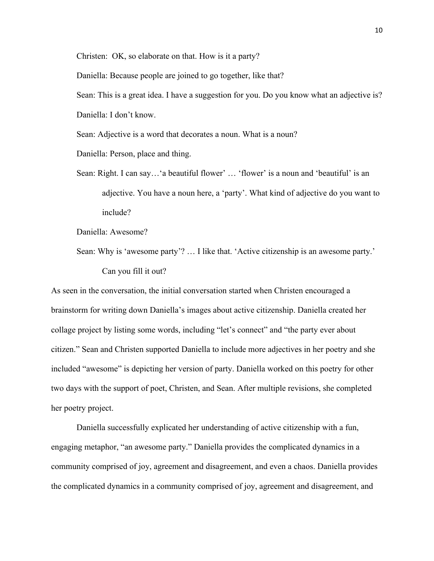Christen: OK, so elaborate on that. How is it a party?

Daniella: Because people are joined to go together, like that?

Sean: This is a great idea. I have a suggestion for you. Do you know what an adjective is? Daniella: I don't know.

Sean: Adjective is a word that decorates a noun. What is a noun?

Daniella: Person, place and thing.

Sean: Right. I can say…'a beautiful flower' … 'flower' is a noun and 'beautiful' is an adjective. You have a noun here, a 'party'. What kind of adjective do you want to include?

Daniella: Awesome?

Sean: Why is 'awesome party'? … I like that. 'Active citizenship is an awesome party.' Can you fill it out?

As seen in the conversation, the initial conversation started when Christen encouraged a brainstorm for writing down Daniella's images about active citizenship. Daniella created her collage project by listing some words, including "let's connect" and "the party ever about citizen." Sean and Christen supported Daniella to include more adjectives in her poetry and she included "awesome" is depicting her version of party. Daniella worked on this poetry for other two days with the support of poet, Christen, and Sean. After multiple revisions, she completed her poetry project.

Daniella successfully explicated her understanding of active citizenship with a fun, engaging metaphor, "an awesome party." Daniella provides the complicated dynamics in a community comprised of joy, agreement and disagreement, and even a chaos. Daniella provides the complicated dynamics in a community comprised of joy, agreement and disagreement, and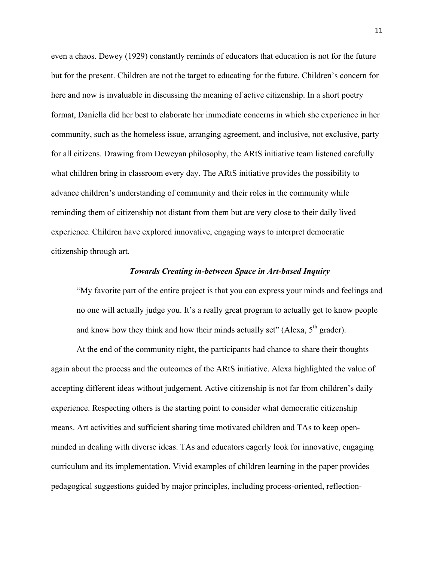even a chaos. Dewey (1929) constantly reminds of educators that education is not for the future but for the present. Children are not the target to educating for the future. Children's concern for here and now is invaluable in discussing the meaning of active citizenship. In a short poetry format, Daniella did her best to elaborate her immediate concerns in which she experience in her community, such as the homeless issue, arranging agreement, and inclusive, not exclusive, party for all citizens. Drawing from Deweyan philosophy, the ARtS initiative team listened carefully what children bring in classroom every day. The ARtS initiative provides the possibility to advance children's understanding of community and their roles in the community while reminding them of citizenship not distant from them but are very close to their daily lived experience. Children have explored innovative, engaging ways to interpret democratic citizenship through art.

#### *Towards Creating in-between Space in Art-based Inquiry*

"My favorite part of the entire project is that you can express your minds and feelings and no one will actually judge you. It's a really great program to actually get to know people and know how they think and how their minds actually set" (Alexa,  $5<sup>th</sup>$  grader).

At the end of the community night, the participants had chance to share their thoughts again about the process and the outcomes of the ARtS initiative. Alexa highlighted the value of accepting different ideas without judgement. Active citizenship is not far from children's daily experience. Respecting others is the starting point to consider what democratic citizenship means. Art activities and sufficient sharing time motivated children and TAs to keep openminded in dealing with diverse ideas. TAs and educators eagerly look for innovative, engaging curriculum and its implementation. Vivid examples of children learning in the paper provides pedagogical suggestions guided by major principles, including process-oriented, reflection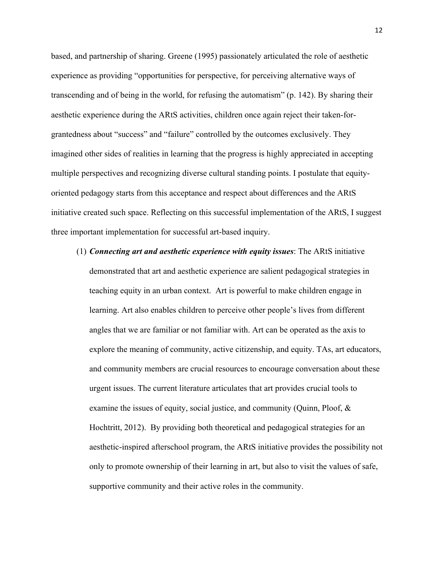based, and partnership of sharing. Greene (1995) passionately articulated the role of aesthetic experience as providing "opportunities for perspective, for perceiving alternative ways of transcending and of being in the world, for refusing the automatism" (p. 142). By sharing their aesthetic experience during the ARtS activities, children once again reject their taken-forgrantedness about "success" and "failure" controlled by the outcomes exclusively. They imagined other sides of realities in learning that the progress is highly appreciated in accepting multiple perspectives and recognizing diverse cultural standing points. I postulate that equityoriented pedagogy starts from this acceptance and respect about differences and the ARtS initiative created such space. Reflecting on this successful implementation of the ARtS, I suggest three important implementation for successful art-based inquiry.

(1) *Connecting art and aesthetic experience with equity issues*: The ARtS initiative demonstrated that art and aesthetic experience are salient pedagogical strategies in teaching equity in an urban context. Art is powerful to make children engage in learning. Art also enables children to perceive other people's lives from different angles that we are familiar or not familiar with. Art can be operated as the axis to explore the meaning of community, active citizenship, and equity. TAs, art educators, and community members are crucial resources to encourage conversation about these urgent issues. The current literature articulates that art provides crucial tools to examine the issues of equity, social justice, and community (Quinn, Ploof, & Hochtritt, 2012). By providing both theoretical and pedagogical strategies for an aesthetic-inspired afterschool program, the ARtS initiative provides the possibility not only to promote ownership of their learning in art, but also to visit the values of safe, supportive community and their active roles in the community.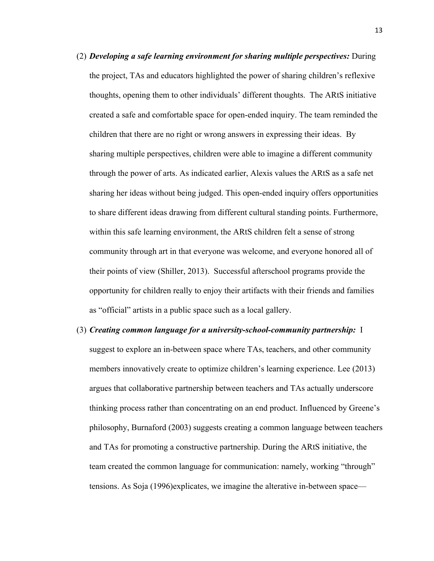- (2) *Developing a safe learning environment for sharing multiple perspectives:* During the project, TAs and educators highlighted the power of sharing children's reflexive thoughts, opening them to other individuals' different thoughts. The ARtS initiative created a safe and comfortable space for open-ended inquiry. The team reminded the children that there are no right or wrong answers in expressing their ideas. By sharing multiple perspectives, children were able to imagine a different community through the power of arts. As indicated earlier, Alexis values the ARtS as a safe net sharing her ideas without being judged. This open-ended inquiry offers opportunities to share different ideas drawing from different cultural standing points. Furthermore, within this safe learning environment, the ARtS children felt a sense of strong community through art in that everyone was welcome, and everyone honored all of their points of view (Shiller, 2013). Successful afterschool programs provide the opportunity for children really to enjoy their artifacts with their friends and families as "official" artists in a public space such as a local gallery.
- (3) *Creating common language for a university-school-community partnership:* I suggest to explore an in-between space where TAs, teachers, and other community members innovatively create to optimize children's learning experience. Lee (2013) argues that collaborative partnership between teachers and TAs actually underscore thinking process rather than concentrating on an end product. Influenced by Greene's philosophy, Burnaford (2003) suggests creating a common language between teachers and TAs for promoting a constructive partnership. During the ARtS initiative, the team created the common language for communication: namely, working "through" tensions. As Soja (1996)explicates, we imagine the alterative in-between space—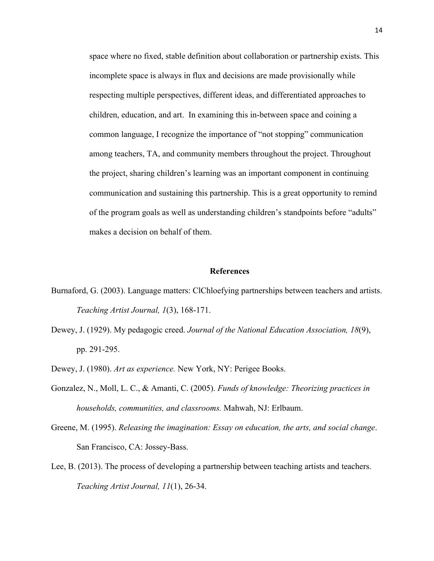space where no fixed, stable definition about collaboration or partnership exists. This incomplete space is always in flux and decisions are made provisionally while respecting multiple perspectives, different ideas, and differentiated approaches to children, education, and art. In examining this in-between space and coining a common language, I recognize the importance of "not stopping" communication among teachers, TA, and community members throughout the project. Throughout the project, sharing children's learning was an important component in continuing communication and sustaining this partnership. This is a great opportunity to remind of the program goals as well as understanding children's standpoints before "adults" makes a decision on behalf of them.

#### **References**

- Burnaford, G. (2003). Language matters: ClChloefying partnerships between teachers and artists. *Teaching Artist Journal, 1*(3), 168-171.
- Dewey, J. (1929). My pedagogic creed. *Journal of the National Education Association, 18*(9), pp. 291-295.
- Dewey, J. (1980). *Art as experience.* New York, NY: Perigee Books.
- Gonzalez, N., Moll, L. C., & Amanti, C. (2005). *Funds of knowledge: Theorizing practices in households, communities, and classrooms.* Mahwah, NJ: Erlbaum.
- Greene, M. (1995). *Releasing the imagination: Essay on education, the arts, and social change*. San Francisco, CA: Jossey-Bass.
- Lee, B. (2013). The process of developing a partnership between teaching artists and teachers. *Teaching Artist Journal, 11*(1), 26-34.